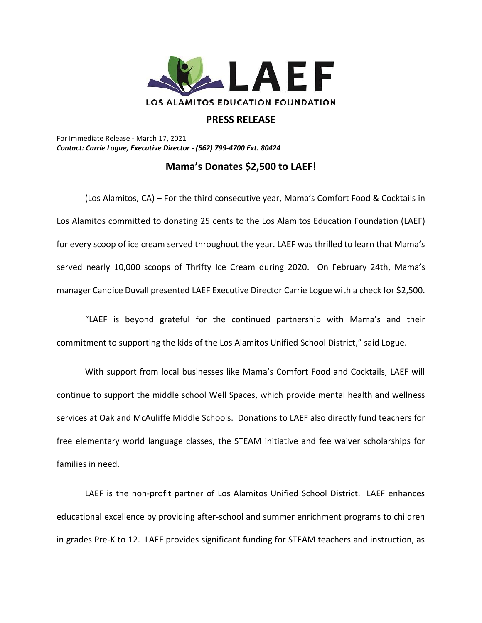

## **PRESS RELEASE**

For Immediate Release - March 17, 2021 *Contact: Carrie Logue, Executive Director - (562) 799-4700 Ext. 80424*

## **Mama's Donates \$2,500 to LAEF!**

(Los Alamitos, CA) – For the third consecutive year, Mama's Comfort Food & Cocktails in Los Alamitos committed to donating 25 cents to the Los Alamitos Education Foundation (LAEF) for every scoop of ice cream served throughout the year. LAEF was thrilled to learn that Mama's served nearly 10,000 scoops of Thrifty Ice Cream during 2020. On February 24th, Mama's manager Candice Duvall presented LAEF Executive Director Carrie Logue with a check for \$2,500.

"LAEF is beyond grateful for the continued partnership with Mama's and their commitment to supporting the kids of the Los Alamitos Unified School District," said Logue.

With support from local businesses like Mama's Comfort Food and Cocktails, LAEF will continue to support the middle school Well Spaces, which provide mental health and wellness services at Oak and McAuliffe Middle Schools. Donations to LAEF also directly fund teachers for free elementary world language classes, the STEAM initiative and fee waiver scholarships for families in need.

LAEF is the non-profit partner of Los Alamitos Unified School District. LAEF enhances educational excellence by providing after-school and summer enrichment programs to children in grades Pre-K to 12. LAEF provides significant funding for STEAM teachers and instruction, as